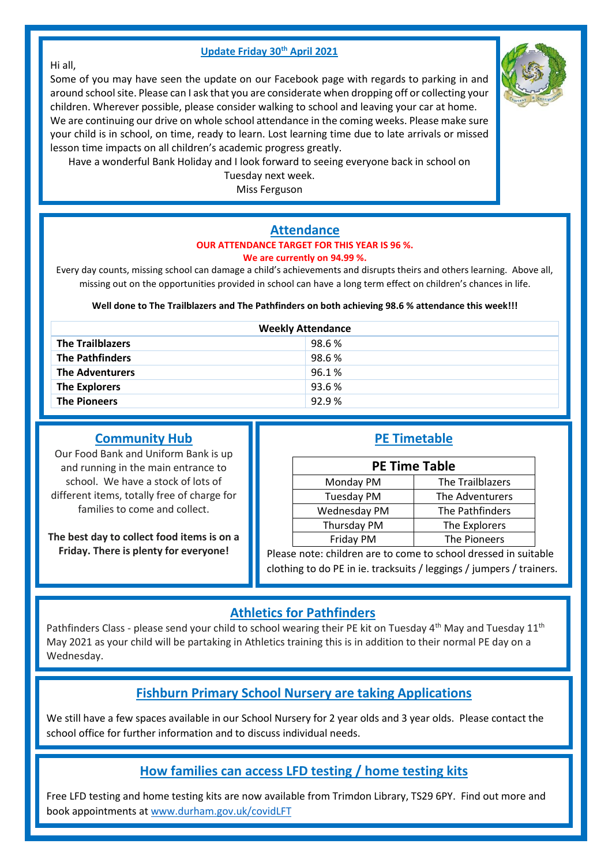#### **Update Friday 30th April 2021**

#### Hi all,

Some of you may have seen the update on our Facebook page with regards to parking in and around school site. Please can I ask that you are considerate when dropping off or collecting your children. Wherever possible, please consider walking to school and leaving your car at home. We are continuing our drive on whole school attendance in the coming weeks. Please make sure your child is in school, on time, ready to learn. Lost learning time due to late arrivals or missed lesson time impacts on all children's academic progress greatly.



Tuesday next week.

Miss Ferguson

# **Attendance**

#### **OUR ATTENDANCE TARGET FOR THIS YEAR IS 96 %. We are currently on 94.99 %.**

Every day counts, missing school can damage a child's achievements and disrupts theirs and others learning. Above all, missing out on the opportunities provided in school can have a long term effect on children's chances in life.

**Well done to The Trailblazers and The Pathfinders on both achieving 98.6 % attendance this week!!!**

| <b>Weekly Attendance</b> |       |  |  |
|--------------------------|-------|--|--|
| <b>The Trailblazers</b>  | 98.6% |  |  |
| <b>The Pathfinders</b>   | 98.6% |  |  |
| <b>The Adventurers</b>   | 96.1% |  |  |
| <b>The Explorers</b>     | 93.6% |  |  |
| <b>The Pioneers</b>      | 92.9% |  |  |

#### **Community Hub**

Our Food Bank and Uniform Bank is up and running in the main entrance to school. We have a stock of lots of different items, totally free of charge for families to come and collect.

**The best day to collect food items is on a Friday. There is plenty for everyone!**

|  |  | um | . .<br>ra |  |
|--|--|----|-----------|--|
|--|--|----|-----------|--|

| <b>PE Time Table</b> |                  |  |
|----------------------|------------------|--|
| Monday PM            | The Trailblazers |  |
| <b>Tuesday PM</b>    | The Adventurers  |  |
| Wednesday PM         | The Pathfinders  |  |
| Thursday PM          | The Explorers    |  |
| Friday PM            | The Pioneers     |  |

Please note: children are to come to school dressed in suitable clothing to do PE in ie. tracksuits / leggings / jumpers / trainers.

## **Athletics for Pathfinders**

Pathfinders Class - please send your child to school wearing their PE kit on Tuesday 4<sup>th</sup> May and Tuesday 11<sup>th</sup> May 2021 as your child will be partaking in Athletics training this is in addition to their normal PE day on a Wednesday.

## **Fishburn Primary School Nursery are taking Applications**

We still have a few spaces available in our School Nursery for 2 year olds and 3 year olds. Please contact the school office for further information and to discuss individual needs.

## **How families can access LFD testing / home testing kits**

Free LFD testing and home testing kits are now available from Trimdon Library, TS29 6PY. Find out more and book appointments a[t www.durham.gov.uk/covidLFT](http://www.durham.gov.uk/covidLFT)